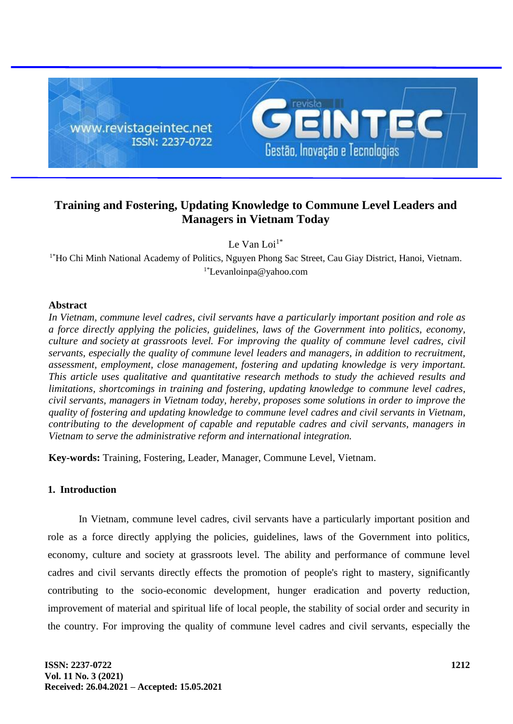

# **Training and Fostering, Updating Knowledge to Commune Level Leaders and Managers in Vietnam Today**

Le Van Loi $1^*$ 

<sup>1\*</sup>Ho Chi Minh National Academy of Politics, Nguyen Phong Sac Street, Cau Giay District, Hanoi, Vietnam. 1\*Levanloinpa@yahoo.com

## **Abstract**

*In Vietnam, commune level cadres, civil servants have a particularly important position and role as a force directly applying the policies, guidelines, laws of the Government into politics, economy, culture and society at grassroots level. For improving the quality of commune level cadres, civil servants, especially the quality of commune level leaders and managers, in addition to recruitment, assessment, employment, close management, fostering and updating knowledge is very important. This article uses qualitative and quantitative research methods to study the achieved results and limitations, shortcomings in training and fostering, updating knowledge to commune level cadres, civil servants, managers in Vietnam today, hereby, proposes some solutions in order to improve the quality of fostering and updating knowledge to commune level cadres and civil servants in Vietnam, contributing to the development of capable and reputable cadres and civil servants, managers in Vietnam to serve the administrative reform and international integration.*

**Key-words:** Training, Fostering, Leader, Manager, Commune Level, Vietnam.

## **1. Introduction**

In Vietnam, commune level cadres, civil servants have a particularly important position and role as a force directly applying the policies, guidelines, laws of the Government into politics, economy, culture and society at grassroots level. The ability and performance of commune level cadres and civil servants directly effects the promotion of people's right to mastery, significantly contributing to the socio-economic development, hunger eradication and poverty reduction, improvement of material and spiritual life of local people, the stability of social order and security in the country. For improving the quality of commune level cadres and civil servants, especially the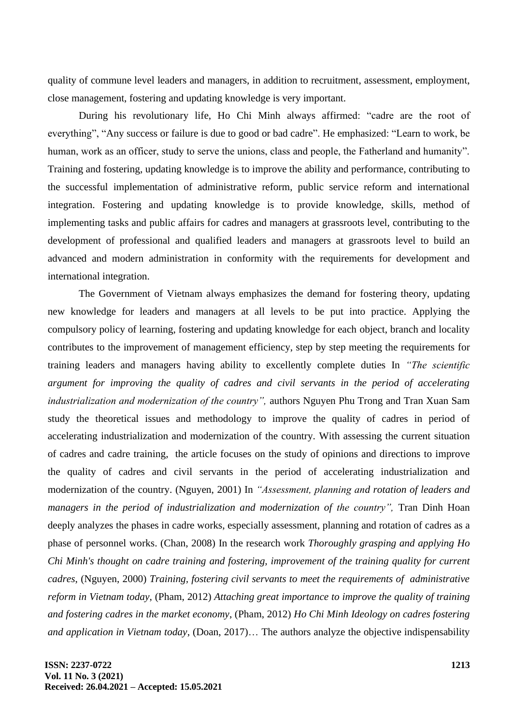quality of commune level leaders and managers, in addition to recruitment, assessment, employment, close management, fostering and updating knowledge is very important.

During his revolutionary life, Ho Chi Minh always affirmed: "cadre are the root of everything", "Any success or failure is due to good or bad cadre". He emphasized: "Learn to work, be human, work as an officer, study to serve the unions, class and people, the Fatherland and humanity". Training and fostering, updating knowledge is to improve the ability and performance, contributing to the successful implementation of administrative reform, public service reform and international integration. Fostering and updating knowledge is to provide knowledge, skills, method of implementing tasks and public affairs for cadres and managers at grassroots level, contributing to the development of professional and qualified leaders and managers at grassroots level to build an advanced and modern administration in conformity with the requirements for development and international integration.

The Government of Vietnam always emphasizes the demand for fostering theory, updating new knowledge for leaders and managers at all levels to be put into practice. Applying the compulsory policy of learning, fostering and updating knowledge for each object, branch and locality contributes to the improvement of management efficiency, step by step meeting the requirements for training leaders and managers having ability to excellently complete duties In *"The scientific argument for improving the quality of cadres and civil servants in the period of accelerating industrialization and modernization of the country",* authors Nguyen Phu Trong and Tran Xuan Sam study the theoretical issues and methodology to improve the quality of cadres in period of accelerating industrialization and modernization of the country. With assessing the current situation of cadres and cadre training, the article focuses on the study of opinions and directions to improve the quality of cadres and civil servants in the period of accelerating industrialization and modernization of the country. (Nguyen, 2001) In *"Assessment, planning and rotation of leaders and managers in the period of industrialization and modernization of the country"*, Tran Dinh Hoan deeply analyzes the phases in cadre works, especially assessment, planning and rotation of cadres as a phase of personnel works. (Chan, 2008) In the research work *Thoroughly grasping and applying Ho Chi Minh's thought on cadre training and fostering, improvement of the training quality for current cadres*, (Nguyen, 2000) *Training, fostering civil servants to meet the requirements of administrative reform in Vietnam today*, (Pham, 2012) *Attaching great importance to improve the quality of training and fostering cadres in the market economy*, (Pham, 2012) *Ho Chi Minh Ideology on cadres fostering and application in Vietnam today*, (Doan, 2017)… The authors analyze the objective indispensability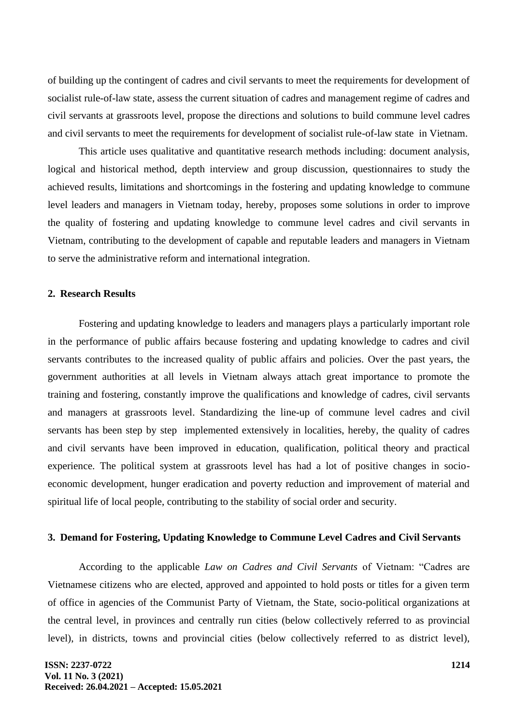of building up the contingent of cadres and civil servants to meet the requirements for development of socialist rule-of-law state, assess the current situation of cadres and management regime of cadres and civil servants at grassroots level, propose the directions and solutions to build commune level cadres and civil servants to meet the requirements for development of socialist rule-of-law state in Vietnam.

This article uses qualitative and quantitative research methods including: document analysis, logical and historical method, depth interview and group discussion, questionnaires to study the achieved results, limitations and shortcomings in the fostering and updating knowledge to commune level leaders and managers in Vietnam today, hereby, proposes some solutions in order to improve the quality of fostering and updating knowledge to commune level cadres and civil servants in Vietnam, contributing to the development of capable and reputable leaders and managers in Vietnam to serve the administrative reform and international integration.

### **2. Research Results**

Fostering and updating knowledge to leaders and managers plays a particularly important role in the performance of public affairs because fostering and updating knowledge to cadres and civil servants contributes to the increased quality of public affairs and policies. Over the past years, the government authorities at all levels in Vietnam always attach great importance to promote the training and fostering, constantly improve the qualifications and knowledge of cadres, civil servants and managers at grassroots level. Standardizing the line-up of commune level cadres and civil servants has been step by step implemented extensively in localities, hereby, the quality of cadres and civil servants have been improved in education, qualification, political theory and practical experience. The political system at grassroots level has had a lot of positive changes in socioeconomic development, hunger eradication and poverty reduction and improvement of material and spiritual life of local people, contributing to the stability of social order and security.

### **3. Demand for Fostering, Updating Knowledge to Commune Level Cadres and Civil Servants**

According to the applicable *Law on Cadres and Civil Servants* of Vietnam: "Cadres are Vietnamese citizens who are elected, approved and appointed to hold posts or titles for a given term of office in agencies of the Communist Party of Vietnam, the State, socio-political organizations at the central level, in provinces and centrally run cities (below collectively referred to as provincial level), in districts, towns and provincial cities (below collectively referred to as district level),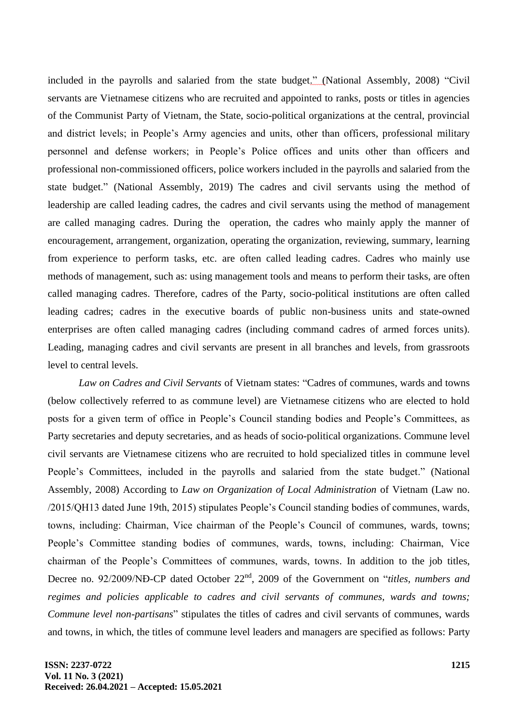included in the payrolls and salaried from the state budget." (National Assembly, 2008) "Civil servants are Vietnamese citizens who are recruited and appointed to ranks, posts or titles in agencies of the Communist Party of Vietnam, the State, socio-political organizations at the central, provincial and district levels; in People's Army agencies and units, other than officers, professional military personnel and defense workers; in People's Police offices and units other than officers and professional non-commissioned officers, police workers included in the payrolls and salaried from the state budget." (National Assembly, 2019) The cadres and civil servants using the method of leadership are called leading cadres, the cadres and civil servants using the method of management are called managing cadres. During the operation, the cadres who mainly apply the manner of encouragement, arrangement, organization, operating the organization, reviewing, summary, learning from experience to perform tasks, etc. are often called leading cadres. Cadres who mainly use methods of management, such as: using management tools and means to perform their tasks, are often called managing cadres. Therefore, cadres of the Party, socio-political institutions are often called leading cadres; cadres in the executive boards of public non-business units and state-owned enterprises are often called managing cadres (including command cadres of armed forces units). Leading, managing cadres and civil servants are present in all branches and levels, from grassroots level to central levels.

*Law on Cadres and Civil Servants* of Vietnam states: "Cadres of communes, wards and towns (below collectively referred to as commune level) are Vietnamese citizens who are elected to hold posts for a given term of office in People's Council standing bodies and People's Committees, as Party secretaries and deputy secretaries, and as heads of socio-political organizations. Commune level civil servants are Vietnamese citizens who are recruited to hold specialized titles in commune level People's Committees, included in the payrolls and salaried from the state budget." (National Assembly, 2008) According to *Law on Organization of Local Administration* of Vietnam (Law no. /2015/QH13 dated June 19th, 2015) stipulates People's Council standing bodies of communes, wards, towns, including: Chairman, Vice chairman of the People's Council of communes, wards, towns; People's Committee standing bodies of communes, wards, towns, including: Chairman, Vice chairman of the People's Committees of communes, wards, towns. In addition to the job titles, Decree no. 92/2009/NĐ-CP dated October 22nd, 2009 of the Government on "*titles, numbers and regimes and policies applicable to cadres and civil servants of communes, wards and towns; Commune level non-partisans*" stipulates the titles of cadres and civil servants of communes, wards and towns, in which, the titles of commune level leaders and managers are specified as follows: Party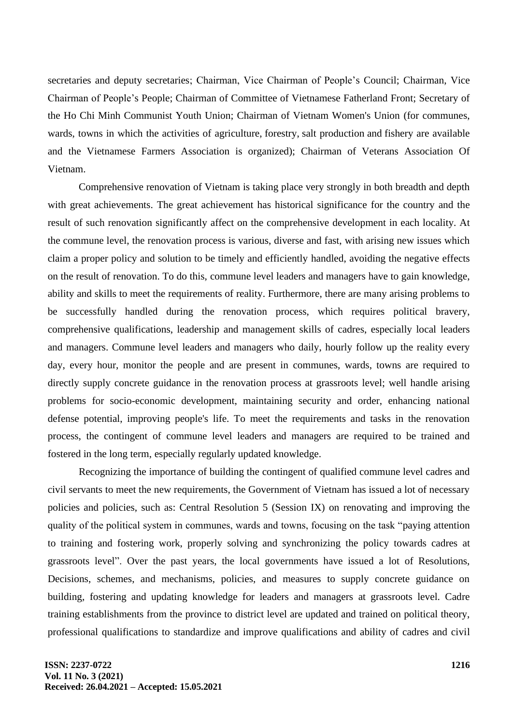secretaries and deputy secretaries; Chairman, Vice Chairman of People's Council; Chairman, Vice Chairman of People's People; Chairman of Committee of Vietnamese Fatherland Front; Secretary of the Ho Chi Minh Communist Youth Union; Chairman of Vietnam Women's Union (for communes, wards, towns in which the activities of agriculture, forestry, salt production and fishery are available and the Vietnamese Farmers Association is organized); Chairman of Veterans Association Of Vietnam.

Comprehensive renovation of Vietnam is taking place very strongly in both breadth and depth with great achievements. The great achievement has historical significance for the country and the result of such renovation significantly affect on the comprehensive development in each locality. At the commune level, the renovation process is various, diverse and fast, with arising new issues which claim a proper policy and solution to be timely and efficiently handled, avoiding the negative effects on the result of renovation. To do this, commune level leaders and managers have to gain knowledge, ability and skills to meet the requirements of reality. Furthermore, there are many arising problems to be successfully handled during the renovation process, which requires political bravery, comprehensive qualifications, leadership and management skills of cadres, especially local leaders and managers. Commune level leaders and managers who daily, hourly follow up the reality every day, every hour, monitor the people and are present in communes, wards, towns are required to directly supply concrete guidance in the renovation process at grassroots level; well handle arising problems for socio-economic development, maintaining security and order, enhancing national defense potential, improving people's life. To meet the requirements and tasks in the renovation process, the contingent of commune level leaders and managers are required to be trained and fostered in the long term, especially regularly updated knowledge.

Recognizing the importance of building the contingent of qualified commune level cadres and civil servants to meet the new requirements, the Government of Vietnam has issued a lot of necessary policies and policies, such as: Central Resolution 5 (Session IX) on renovating and improving the quality of the political system in communes, wards and towns, focusing on the task "paying attention to training and fostering work, properly solving and synchronizing the policy towards cadres at grassroots level". Over the past years, the local governments have issued a lot of Resolutions, Decisions, schemes, and mechanisms, policies, and measures to supply concrete guidance on building, fostering and updating knowledge for leaders and managers at grassroots level. Cadre training establishments from the province to district level are updated and trained on political theory, professional qualifications to standardize and improve qualifications and ability of cadres and civil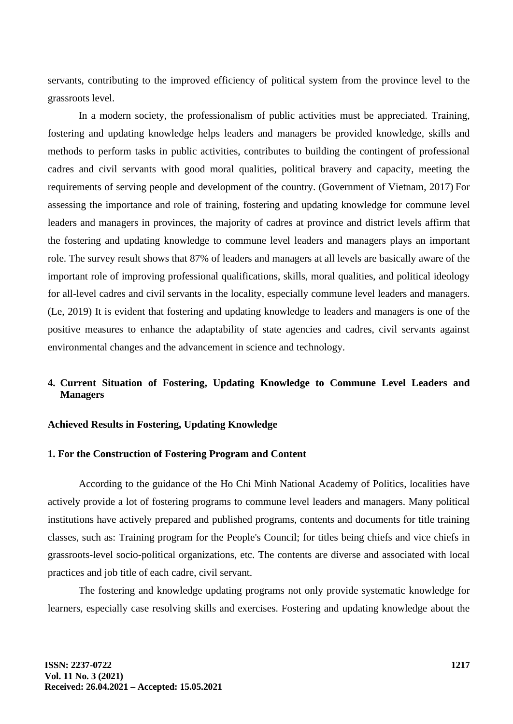servants, contributing to the improved efficiency of political system from the province level to the grassroots level.

In a modern society, the professionalism of public activities must be appreciated. Training, fostering and updating knowledge helps leaders and managers be provided knowledge, skills and methods to perform tasks in public activities, contributes to building the contingent of professional cadres and civil servants with good moral qualities, political bravery and capacity, meeting the requirements of serving people and development of the country. (Government of Vietnam, 2017) For assessing the importance and role of training, fostering and updating knowledge for commune level leaders and managers in provinces, the majority of cadres at province and district levels affirm that the fostering and updating knowledge to commune level leaders and managers plays an important role. The survey result shows that 87% of leaders and managers at all levels are basically aware of the important role of improving professional qualifications, skills, moral qualities, and political ideology for all-level cadres and civil servants in the locality, especially commune level leaders and managers. (Le, 2019) It is evident that fostering and updating knowledge to leaders and managers is one of the positive measures to enhance the adaptability of state agencies and cadres, civil servants against environmental changes and the advancement in science and technology.

## **4. Current Situation of Fostering, Updating Knowledge to Commune Level Leaders and Managers**

## **Achieved Results in Fostering, Updating Knowledge**

#### **1. For the Construction of Fostering Program and Content**

According to the guidance of the Ho Chi Minh National Academy of Politics, localities have actively provide a lot of fostering programs to commune level leaders and managers. Many political institutions have actively prepared and published programs, contents and documents for title training classes, such as: Training program for the People's Council; for titles being chiefs and vice chiefs in grassroots-level socio-political organizations, etc. The contents are diverse and associated with local practices and job title of each cadre, civil servant.

The fostering and knowledge updating programs not only provide systematic knowledge for learners, especially case resolving skills and exercises. Fostering and updating knowledge about the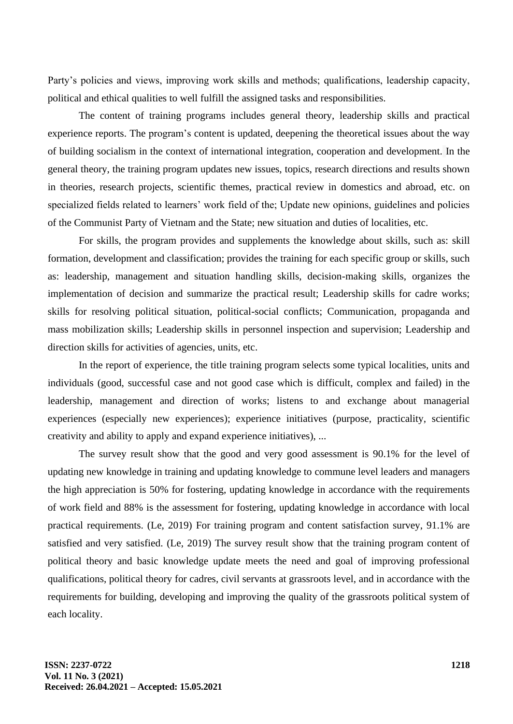Party's policies and views, improving work skills and methods; qualifications, leadership capacity, political and ethical qualities to well fulfill the assigned tasks and responsibilities.

The content of training programs includes general theory, leadership skills and practical experience reports. The program's content is updated, deepening the theoretical issues about the way of building socialism in the context of international integration, cooperation and development. In the general theory, the training program updates new issues, topics, research directions and results shown in theories, research projects, scientific themes, practical review in domestics and abroad, etc. on specialized fields related to learners' work field of the; Update new opinions, guidelines and policies of the Communist Party of Vietnam and the State; new situation and duties of localities, etc.

For skills, the program provides and supplements the knowledge about skills, such as: skill formation, development and classification; provides the training for each specific group or skills, such as: leadership, management and situation handling skills, decision-making skills, organizes the implementation of decision and summarize the practical result; Leadership skills for cadre works; skills for resolving political situation, political-social conflicts; Communication, propaganda and mass mobilization skills; Leadership skills in personnel inspection and supervision; Leadership and direction skills for activities of agencies, units, etc.

In the report of experience, the title training program selects some typical localities, units and individuals (good, successful case and not good case which is difficult, complex and failed) in the leadership, management and direction of works; listens to and exchange about managerial experiences (especially new experiences); experience initiatives (purpose, practicality, scientific creativity and ability to apply and expand experience initiatives), ...

The survey result show that the good and very good assessment is 90.1% for the level of updating new knowledge in training and updating knowledge to commune level leaders and managers the high appreciation is 50% for fostering, updating knowledge in accordance with the requirements of work field and 88% is the assessment for fostering, updating knowledge in accordance with local practical requirements. (Le, 2019) For training program and content satisfaction survey, 91.1% are satisfied and very satisfied. (Le, 2019) The survey result show that the training program content of political theory and basic knowledge update meets the need and goal of improving professional qualifications, political theory for cadres, civil servants at grassroots level, and in accordance with the requirements for building, developing and improving the quality of the grassroots political system of each locality.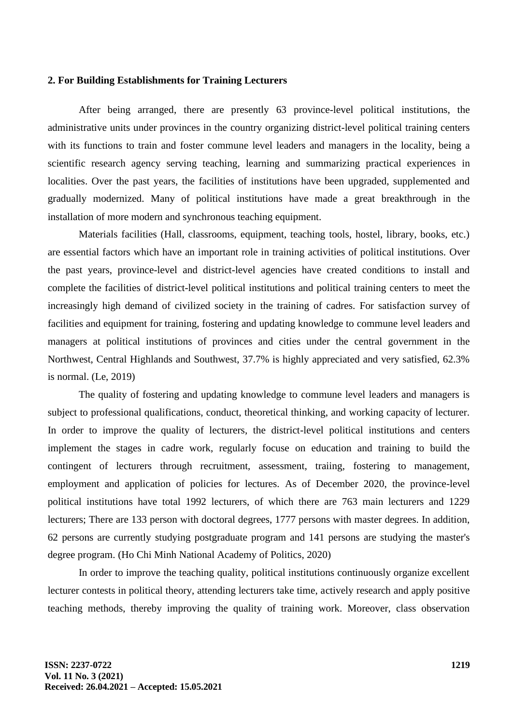## **2. For Building Establishments for Training Lecturers**

After being arranged, there are presently 63 province-level political institutions, the administrative units under provinces in the country organizing district-level political training centers with its functions to train and foster commune level leaders and managers in the locality, being a scientific research agency serving teaching, learning and summarizing practical experiences in localities. Over the past years, the facilities of institutions have been upgraded, supplemented and gradually modernized. Many of political institutions have made a great breakthrough in the installation of more modern and synchronous teaching equipment.

Materials facilities (Hall, classrooms, equipment, teaching tools, hostel, library, books, etc.) are essential factors which have an important role in training activities of political institutions. Over the past years, province-level and district-level agencies have created conditions to install and complete the facilities of district-level political institutions and political training centers to meet the increasingly high demand of civilized society in the training of cadres. For satisfaction survey of facilities and equipment for training, fostering and updating knowledge to commune level leaders and managers at political institutions of provinces and cities under the central government in the Northwest, Central Highlands and Southwest, 37.7% is highly appreciated and very satisfied, 62.3% is normal. (Le, 2019)

The quality of fostering and updating knowledge to commune level leaders and managers is subject to professional qualifications, conduct, theoretical thinking, and working capacity of lecturer. In order to improve the quality of lecturers, the district-level political institutions and centers implement the stages in cadre work, regularly focuse on education and training to build the contingent of lecturers through recruitment, assessment, traiing, fostering to management, employment and application of policies for lectures. As of December 2020, the province-level political institutions have total 1992 lecturers, of which there are 763 main lecturers and 1229 lecturers; There are 133 person with doctoral degrees, 1777 persons with master degrees. In addition, 62 persons are currently studying postgraduate program and 141 persons are studying the master's degree program. (Ho Chi Minh National Academy of Politics, 2020)

In order to improve the teaching quality, political institutions continuously organize excellent lecturer contests in political theory, attending lecturers take time, actively research and apply positive teaching methods, thereby improving the quality of training work. Moreover, class observation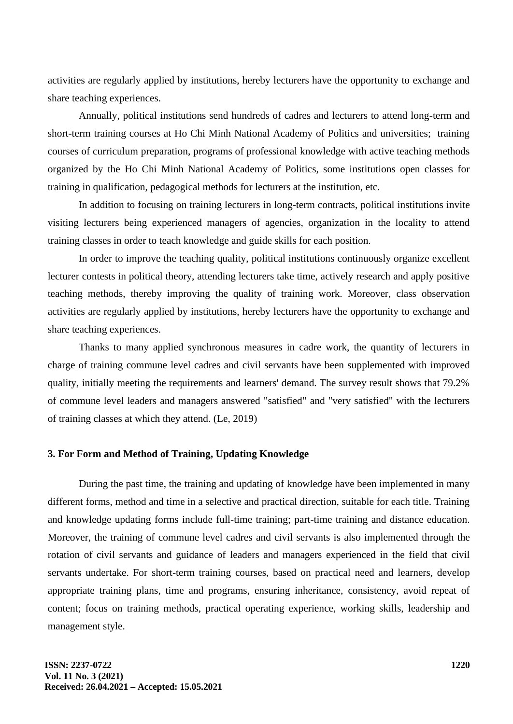activities are regularly applied by institutions, hereby lecturers have the opportunity to exchange and share teaching experiences.

Annually, political institutions send hundreds of cadres and lecturers to attend long-term and short-term training courses at Ho Chi Minh National Academy of Politics and universities; training courses of curriculum preparation, programs of professional knowledge with active teaching methods organized by the Ho Chi Minh National Academy of Politics, some institutions open classes for training in qualification, pedagogical methods for lecturers at the institution, etc.

In addition to focusing on training lecturers in long-term contracts, political institutions invite visiting lecturers being experienced managers of agencies, organization in the locality to attend training classes in order to teach knowledge and guide skills for each position.

In order to improve the teaching quality, political institutions continuously organize excellent lecturer contests in political theory, attending lecturers take time, actively research and apply positive teaching methods, thereby improving the quality of training work. Moreover, class observation activities are regularly applied by institutions, hereby lecturers have the opportunity to exchange and share teaching experiences.

Thanks to many applied synchronous measures in cadre work, the quantity of lecturers in charge of training commune level cadres and civil servants have been supplemented with improved quality, initially meeting the requirements and learners' demand. The survey result shows that 79.2% of commune level leaders and managers answered "satisfied" and "very satisfied" with the lecturers of training classes at which they attend. (Le, 2019)

## **3. For Form and Method of Training, Updating Knowledge**

During the past time, the training and updating of knowledge have been implemented in many different forms, method and time in a selective and practical direction, suitable for each title. Training and knowledge updating forms include full-time training; part-time training and distance education. Moreover, the training of commune level cadres and civil servants is also implemented through the rotation of civil servants and guidance of leaders and managers experienced in the field that civil servants undertake. For short-term training courses, based on practical need and learners, develop appropriate training plans, time and programs, ensuring inheritance, consistency, avoid repeat of content; focus on training methods, practical operating experience, working skills, leadership and management style.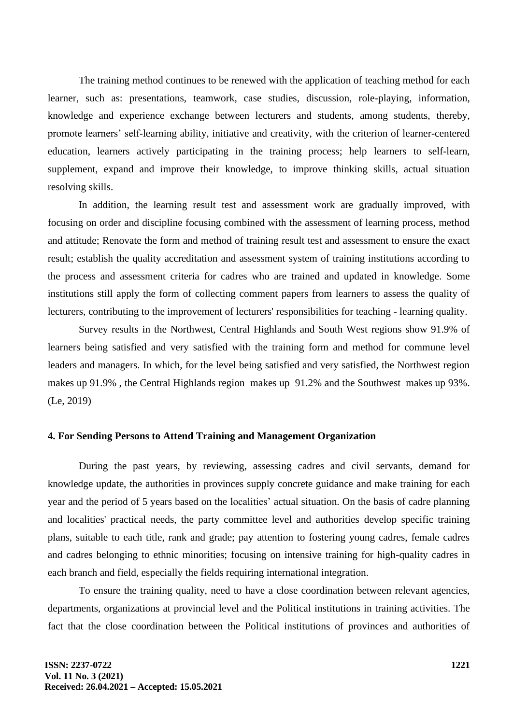The training method continues to be renewed with the application of teaching method for each learner, such as: presentations, teamwork, case studies, discussion, role-playing, information, knowledge and experience exchange between lecturers and students, among students, thereby, promote learners' self-learning ability, initiative and creativity, with the criterion of learner-centered education, learners actively participating in the training process; help learners to self-learn, supplement, expand and improve their knowledge, to improve thinking skills, actual situation resolving skills.

In addition, the learning result test and assessment work are gradually improved, with focusing on order and discipline focusing combined with the assessment of learning process, method and attitude; Renovate the form and method of training result test and assessment to ensure the exact result; establish the quality accreditation and assessment system of training institutions according to the process and assessment criteria for cadres who are trained and updated in knowledge. Some institutions still apply the form of collecting comment papers from learners to assess the quality of lecturers, contributing to the improvement of lecturers' responsibilities for teaching - learning quality.

Survey results in the Northwest, Central Highlands and South West regions show 91.9% of learners being satisfied and very satisfied with the training form and method for commune level leaders and managers. In which, for the level being satisfied and very satisfied, the Northwest region makes up 91.9% , the Central Highlands region makes up 91.2% and the Southwest makes up 93%. (Le, 2019)

## **4. For Sending Persons to Attend Training and Management Organization**

During the past years, by reviewing, assessing cadres and civil servants, demand for knowledge update, the authorities in provinces supply concrete guidance and make training for each year and the period of 5 years based on the localities' actual situation. On the basis of cadre planning and localities' practical needs, the party committee level and authorities develop specific training plans, suitable to each title, rank and grade; pay attention to fostering young cadres, female cadres and cadres belonging to ethnic minorities; focusing on intensive training for high-quality cadres in each branch and field, especially the fields requiring international integration.

To ensure the training quality, need to have a close coordination between relevant agencies, departments, organizations at provincial level and the Political institutions in training activities. The fact that the close coordination between the Political institutions of provinces and authorities of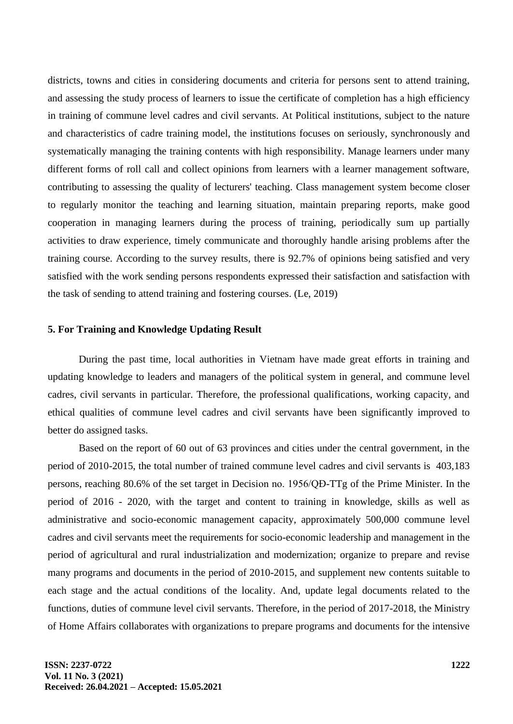districts, towns and cities in considering documents and criteria for persons sent to attend training, and assessing the study process of learners to issue the certificate of completion has a high efficiency in training of commune level cadres and civil servants. At Political institutions, subject to the nature and characteristics of cadre training model, the institutions focuses on seriously, synchronously and systematically managing the training contents with high responsibility. Manage learners under many different forms of roll call and collect opinions from learners with a learner management software, contributing to assessing the quality of lecturers' teaching. Class management system become closer to regularly monitor the teaching and learning situation, maintain preparing reports, make good cooperation in managing learners during the process of training, periodically sum up partially activities to draw experience, timely communicate and thoroughly handle arising problems after the training course. According to the survey results, there is 92.7% of opinions being satisfied and very satisfied with the work sending persons respondents expressed their satisfaction and satisfaction with the task of sending to attend training and fostering courses. (Le, 2019)

#### **5. For Training and Knowledge Updating Result**

During the past time, local authorities in Vietnam have made great efforts in training and updating knowledge to leaders and managers of the political system in general, and commune level cadres, civil servants in particular. Therefore, the professional qualifications, working capacity, and ethical qualities of commune level cadres and civil servants have been significantly improved to better do assigned tasks.

Based on the report of 60 out of 63 provinces and cities under the central government, in the period of 2010-2015, the total number of trained commune level cadres and civil servants is 403,183 persons, reaching 80.6% of the set target in Decision no. 1956/QĐ-TTg of the Prime Minister. In the period of 2016 - 2020, with the target and content to training in knowledge, skills as well as administrative and socio-economic management capacity, approximately 500,000 commune level cadres and civil servants meet the requirements for socio-economic leadership and management in the period of agricultural and rural industrialization and modernization; organize to prepare and revise many programs and documents in the period of 2010-2015, and supplement new contents suitable to each stage and the actual conditions of the locality. And, update legal documents related to the functions, duties of commune level civil servants. Therefore, in the period of 2017-2018, the Ministry of Home Affairs collaborates with organizations to prepare programs and documents for the intensive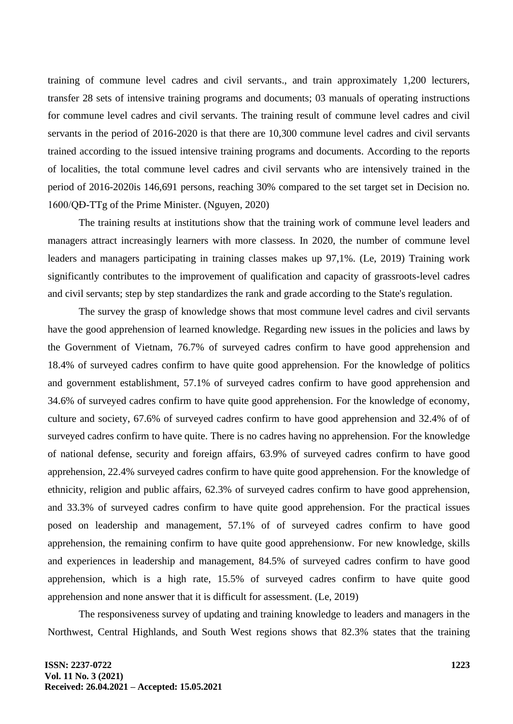training of commune level cadres and civil servants., and train approximately 1,200 lecturers, transfer 28 sets of intensive training programs and documents; 03 manuals of operating instructions for commune level cadres and civil servants. The training result of commune level cadres and civil servants in the period of 2016-2020 is that there are 10,300 commune level cadres and civil servants trained according to the issued intensive training programs and documents. According to the reports of localities, the total commune level cadres and civil servants who are intensively trained in the period of 2016-2020is 146,691 persons, reaching 30% compared to the set target set in Decision no. 1600/QĐ-TTg of the Prime Minister. (Nguyen, 2020)

The training results at institutions show that the training work of commune level leaders and managers attract increasingly learners with more classess. In 2020, the number of commune level leaders and managers participating in training classes makes up 97,1%. (Le, 2019) Training work significantly contributes to the improvement of qualification and capacity of grassroots-level cadres and civil servants; step by step standardizes the rank and grade according to the State's regulation.

The survey the grasp of knowledge shows that most commune level cadres and civil servants have the good apprehension of learned knowledge. Regarding new issues in the policies and laws by the Government of Vietnam, 76.7% of surveyed cadres confirm to have good apprehension and 18.4% of surveyed cadres confirm to have quite good apprehension. For the knowledge of politics and government establishment, 57.1% of surveyed cadres confirm to have good apprehension and 34.6% of surveyed cadres confirm to have quite good apprehension. For the knowledge of economy, culture and society, 67.6% of surveyed cadres confirm to have good apprehension and 32.4% of of surveyed cadres confirm to have quite. There is no cadres having no apprehension. For the knowledge of national defense, security and foreign affairs, 63.9% of surveyed cadres confirm to have good apprehension, 22.4% surveyed cadres confirm to have quite good apprehension. For the knowledge of ethnicity, religion and public affairs, 62.3% of surveyed cadres confirm to have good apprehension, and 33.3% of surveyed cadres confirm to have quite good apprehension. For the practical issues posed on leadership and management, 57.1% of of surveyed cadres confirm to have good apprehension, the remaining confirm to have quite good apprehensionw. For new knowledge, skills and experiences in leadership and management, 84.5% of surveyed cadres confirm to have good apprehension, which is a high rate, 15.5% of surveyed cadres confirm to have quite good apprehension and none answer that it is difficult for assessment. (Le, 2019)

The responsiveness survey of updating and training knowledge to leaders and managers in the Northwest, Central Highlands, and South West regions shows that 82.3% states that the training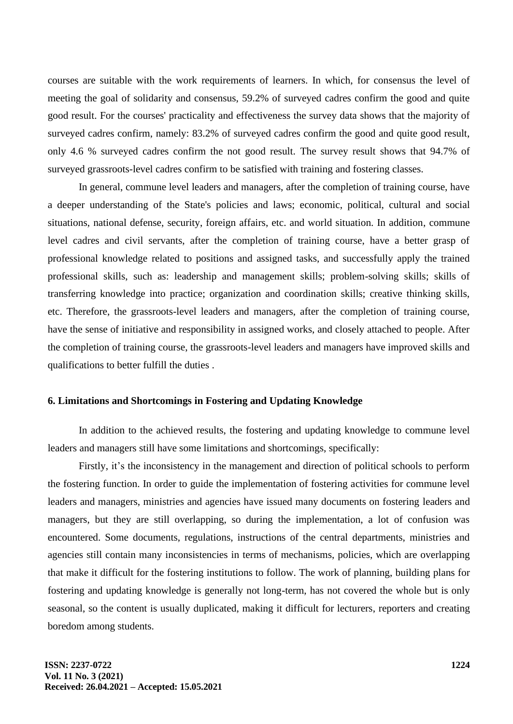courses are suitable with the work requirements of learners. In which, for consensus the level of meeting the goal of solidarity and consensus, 59.2% of surveyed cadres confirm the good and quite good result. For the courses' practicality and effectiveness the survey data shows that the majority of surveyed cadres confirm, namely: 83.2% of surveyed cadres confirm the good and quite good result, only 4.6 % surveyed cadres confirm the not good result. The survey result shows that 94.7% of surveyed grassroots-level cadres confirm to be satisfied with training and fostering classes.

In general, commune level leaders and managers, after the completion of training course, have a deeper understanding of the State's policies and laws; economic, political, cultural and social situations, national defense, security, foreign affairs, etc. and world situation. In addition, commune level cadres and civil servants, after the completion of training course, have a better grasp of professional knowledge related to positions and assigned tasks, and successfully apply the trained professional skills, such as: leadership and management skills; problem-solving skills; skills of transferring knowledge into practice; organization and coordination skills; creative thinking skills, etc. Therefore, the grassroots-level leaders and managers, after the completion of training course, have the sense of initiative and responsibility in assigned works, and closely attached to people. After the completion of training course, the grassroots-level leaders and managers have improved skills and qualifications to better fulfill the duties .

#### **6. Limitations and Shortcomings in Fostering and Updating Knowledge**

In addition to the achieved results, the fostering and updating knowledge to commune level leaders and managers still have some limitations and shortcomings, specifically:

Firstly, it's the inconsistency in the management and direction of political schools to perform the fostering function. In order to guide the implementation of fostering activities for commune level leaders and managers, ministries and agencies have issued many documents on fostering leaders and managers, but they are still overlapping, so during the implementation, a lot of confusion was encountered. Some documents, regulations, instructions of the central departments, ministries and agencies still contain many inconsistencies in terms of mechanisms, policies, which are overlapping that make it difficult for the fostering institutions to follow. The work of planning, building plans for fostering and updating knowledge is generally not long-term, has not covered the whole but is only seasonal, so the content is usually duplicated, making it difficult for lecturers, reporters and creating boredom among students.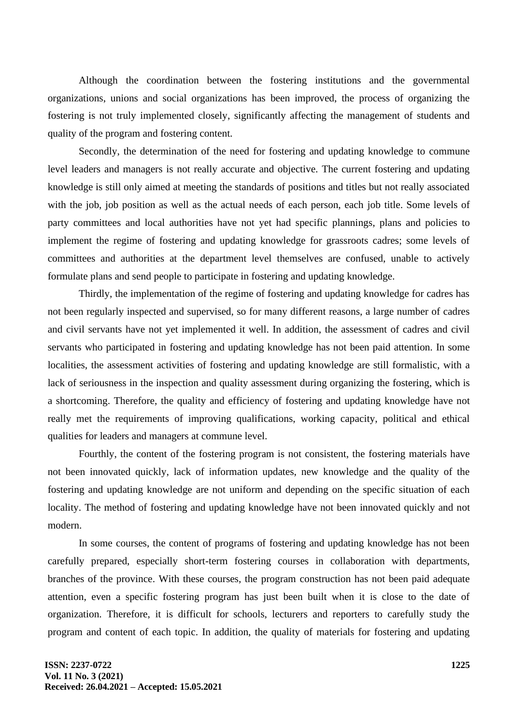Although the coordination between the fostering institutions and the governmental organizations, unions and social organizations has been improved, the process of organizing the fostering is not truly implemented closely, significantly affecting the management of students and quality of the program and fostering content.

Secondly, the determination of the need for fostering and updating knowledge to commune level leaders and managers is not really accurate and objective. The current fostering and updating knowledge is still only aimed at meeting the standards of positions and titles but not really associated with the job, job position as well as the actual needs of each person, each job title. Some levels of party committees and local authorities have not yet had specific plannings, plans and policies to implement the regime of fostering and updating knowledge for grassroots cadres; some levels of committees and authorities at the department level themselves are confused, unable to actively formulate plans and send people to participate in fostering and updating knowledge.

Thirdly, the implementation of the regime of fostering and updating knowledge for cadres has not been regularly inspected and supervised, so for many different reasons, a large number of cadres and civil servants have not yet implemented it well. In addition, the assessment of cadres and civil servants who participated in fostering and updating knowledge has not been paid attention. In some localities, the assessment activities of fostering and updating knowledge are still formalistic, with a lack of seriousness in the inspection and quality assessment during organizing the fostering, which is a shortcoming. Therefore, the quality and efficiency of fostering and updating knowledge have not really met the requirements of improving qualifications, working capacity, political and ethical qualities for leaders and managers at commune level.

Fourthly, the content of the fostering program is not consistent, the fostering materials have not been innovated quickly, lack of information updates, new knowledge and the quality of the fostering and updating knowledge are not uniform and depending on the specific situation of each locality. The method of fostering and updating knowledge have not been innovated quickly and not modern.

In some courses, the content of programs of fostering and updating knowledge has not been carefully prepared, especially short-term fostering courses in collaboration with departments, branches of the province. With these courses, the program construction has not been paid adequate attention, even a specific fostering program has just been built when it is close to the date of organization. Therefore, it is difficult for schools, lecturers and reporters to carefully study the program and content of each topic. In addition, the quality of materials for fostering and updating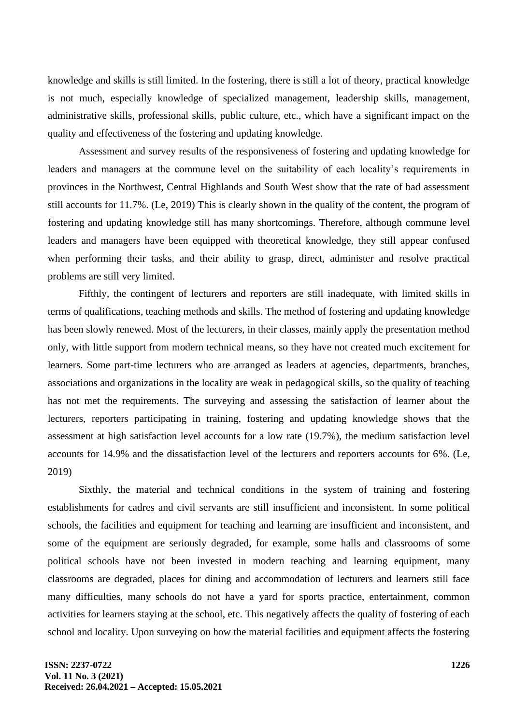knowledge and skills is still limited. In the fostering, there is still a lot of theory, practical knowledge is not much, especially knowledge of specialized management, leadership skills, management, administrative skills, professional skills, public culture, etc., which have a significant impact on the quality and effectiveness of the fostering and updating knowledge.

Assessment and survey results of the responsiveness of fostering and updating knowledge for leaders and managers at the commune level on the suitability of each locality's requirements in provinces in the Northwest, Central Highlands and South West show that the rate of bad assessment still accounts for 11.7%. (Le, 2019) This is clearly shown in the quality of the content, the program of fostering and updating knowledge still has many shortcomings. Therefore, although commune level leaders and managers have been equipped with theoretical knowledge, they still appear confused when performing their tasks, and their ability to grasp, direct, administer and resolve practical problems are still very limited.

Fifthly, the contingent of lecturers and reporters are still inadequate, with limited skills in terms of qualifications, teaching methods and skills. The method of fostering and updating knowledge has been slowly renewed. Most of the lecturers, in their classes, mainly apply the presentation method only, with little support from modern technical means, so they have not created much excitement for learners. Some part-time lecturers who are arranged as leaders at agencies, departments, branches, associations and organizations in the locality are weak in pedagogical skills, so the quality of teaching has not met the requirements. The surveying and assessing the satisfaction of learner about the lecturers, reporters participating in training, fostering and updating knowledge shows that the assessment at high satisfaction level accounts for a low rate (19.7%), the medium satisfaction level accounts for 14.9% and the dissatisfaction level of the lecturers and reporters accounts for 6%. (Le, 2019)

Sixthly, the material and technical conditions in the system of training and fostering establishments for cadres and civil servants are still insufficient and inconsistent. In some political schools, the facilities and equipment for teaching and learning are insufficient and inconsistent, and some of the equipment are seriously degraded, for example, some halls and classrooms of some political schools have not been invested in modern teaching and learning equipment, many classrooms are degraded, places for dining and accommodation of lecturers and learners still face many difficulties, many schools do not have a yard for sports practice, entertainment, common activities for learners staying at the school, etc. This negatively affects the quality of fostering of each school and locality. Upon surveying on how the material facilities and equipment affects the fostering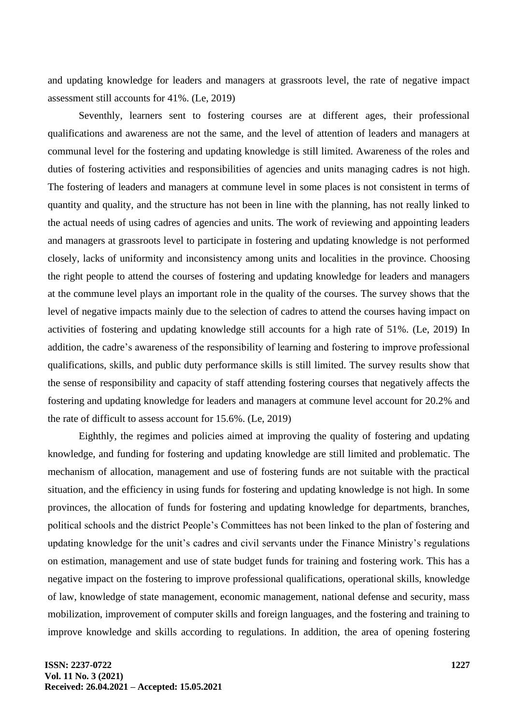and updating knowledge for leaders and managers at grassroots level, the rate of negative impact assessment still accounts for 41%. (Le, 2019)

Seventhly, learners sent to fostering courses are at different ages, their professional qualifications and awareness are not the same, and the level of attention of leaders and managers at communal level for the fostering and updating knowledge is still limited. Awareness of the roles and duties of fostering activities and responsibilities of agencies and units managing cadres is not high. The fostering of leaders and managers at commune level in some places is not consistent in terms of quantity and quality, and the structure has not been in line with the planning, has not really linked to the actual needs of using cadres of agencies and units. The work of reviewing and appointing leaders and managers at grassroots level to participate in fostering and updating knowledge is not performed closely, lacks of uniformity and inconsistency among units and localities in the province. Choosing the right people to attend the courses of fostering and updating knowledge for leaders and managers at the commune level plays an important role in the quality of the courses. The survey shows that the level of negative impacts mainly due to the selection of cadres to attend the courses having impact on activities of fostering and updating knowledge still accounts for a high rate of 51%. (Le, 2019) In addition, the cadre's awareness of the responsibility of learning and fostering to improve professional qualifications, skills, and public duty performance skills is still limited. The survey results show that the sense of responsibility and capacity of staff attending fostering courses that negatively affects the fostering and updating knowledge for leaders and managers at commune level account for 20.2% and the rate of difficult to assess account for 15.6%. (Le, 2019)

Eighthly, the regimes and policies aimed at improving the quality of fostering and updating knowledge, and funding for fostering and updating knowledge are still limited and problematic. The mechanism of allocation, management and use of fostering funds are not suitable with the practical situation, and the efficiency in using funds for fostering and updating knowledge is not high. In some provinces, the allocation of funds for fostering and updating knowledge for departments, branches, political schools and the district People's Committees has not been linked to the plan of fostering and updating knowledge for the unit's cadres and civil servants under the Finance Ministry's regulations on estimation, management and use of state budget funds for training and fostering work. This has a negative impact on the fostering to improve professional qualifications, operational skills, knowledge of law, knowledge of state management, economic management, national defense and security, mass mobilization, improvement of computer skills and foreign languages, and the fostering and training to improve knowledge and skills according to regulations. In addition, the area of opening fostering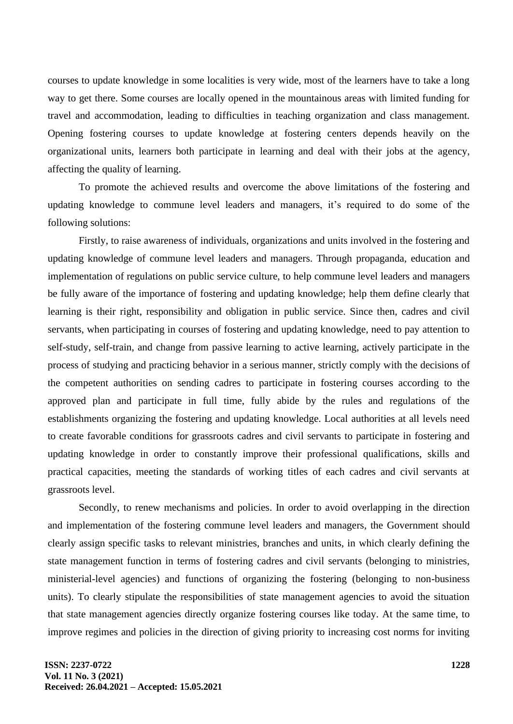courses to update knowledge in some localities is very wide, most of the learners have to take a long way to get there. Some courses are locally opened in the mountainous areas with limited funding for travel and accommodation, leading to difficulties in teaching organization and class management. Opening fostering courses to update knowledge at fostering centers depends heavily on the organizational units, learners both participate in learning and deal with their jobs at the agency, affecting the quality of learning.

To promote the achieved results and overcome the above limitations of the fostering and updating knowledge to commune level leaders and managers, it's required to do some of the following solutions:

Firstly, to raise awareness of individuals, organizations and units involved in the fostering and updating knowledge of commune level leaders and managers. Through propaganda, education and implementation of regulations on public service culture, to help commune level leaders and managers be fully aware of the importance of fostering and updating knowledge; help them define clearly that learning is their right, responsibility and obligation in public service. Since then, cadres and civil servants, when participating in courses of fostering and updating knowledge, need to pay attention to self-study, self-train, and change from passive learning to active learning, actively participate in the process of studying and practicing behavior in a serious manner, strictly comply with the decisions of the competent authorities on sending cadres to participate in fostering courses according to the approved plan and participate in full time, fully abide by the rules and regulations of the establishments organizing the fostering and updating knowledge. Local authorities at all levels need to create favorable conditions for grassroots cadres and civil servants to participate in fostering and updating knowledge in order to constantly improve their professional qualifications, skills and practical capacities, meeting the standards of working titles of each cadres and civil servants at grassroots level.

Secondly, to renew mechanisms and policies. In order to avoid overlapping in the direction and implementation of the fostering commune level leaders and managers, the Government should clearly assign specific tasks to relevant ministries, branches and units, in which clearly defining the state management function in terms of fostering cadres and civil servants (belonging to ministries, ministerial-level agencies) and functions of organizing the fostering (belonging to non-business units). To clearly stipulate the responsibilities of state management agencies to avoid the situation that state management agencies directly organize fostering courses like today. At the same time, to improve regimes and policies in the direction of giving priority to increasing cost norms for inviting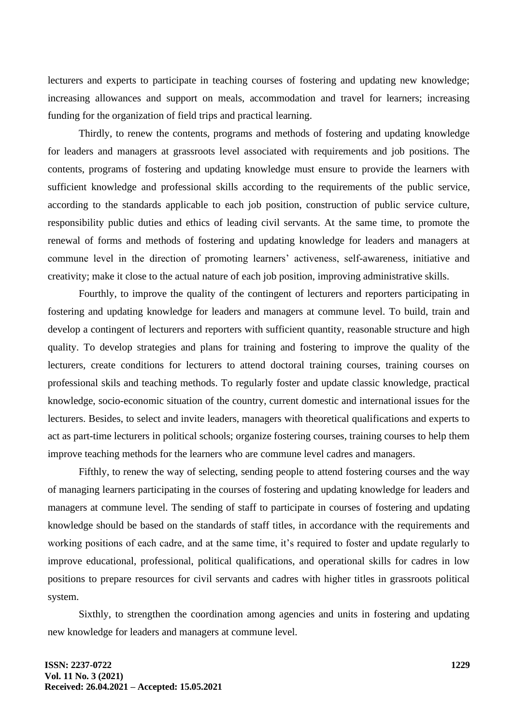lecturers and experts to participate in teaching courses of fostering and updating new knowledge; increasing allowances and support on meals, accommodation and travel for learners; increasing funding for the organization of field trips and practical learning.

Thirdly, to renew the contents, programs and methods of fostering and updating knowledge for leaders and managers at grassroots level associated with requirements and job positions. The contents, programs of fostering and updating knowledge must ensure to provide the learners with sufficient knowledge and professional skills according to the requirements of the public service, according to the standards applicable to each job position, construction of public service culture, responsibility public duties and ethics of leading civil servants. At the same time, to promote the renewal of forms and methods of fostering and updating knowledge for leaders and managers at commune level in the direction of promoting learners' activeness, self-awareness, initiative and creativity; make it close to the actual nature of each job position, improving administrative skills.

Fourthly, to improve the quality of the contingent of lecturers and reporters participating in fostering and updating knowledge for leaders and managers at commune level. To build, train and develop a contingent of lecturers and reporters with sufficient quantity, reasonable structure and high quality. To develop strategies and plans for training and fostering to improve the quality of the lecturers, create conditions for lecturers to attend doctoral training courses, training courses on professional skils and teaching methods. To regularly foster and update classic knowledge, practical knowledge, socio-economic situation of the country, current domestic and international issues for the lecturers. Besides, to select and invite leaders, managers with theoretical qualifications and experts to act as part-time lecturers in political schools; organize fostering courses, training courses to help them improve teaching methods for the learners who are commune level cadres and managers.

Fifthly, to renew the way of selecting, sending people to attend fostering courses and the way of managing learners participating in the courses of fostering and updating knowledge for leaders and managers at commune level. The sending of staff to participate in courses of fostering and updating knowledge should be based on the standards of staff titles, in accordance with the requirements and working positions of each cadre, and at the same time, it's required to foster and update regularly to improve educational, professional, political qualifications, and operational skills for cadres in low positions to prepare resources for civil servants and cadres with higher titles in grassroots political system.

Sixthly, to strengthen the coordination among agencies and units in fostering and updating new knowledge for leaders and managers at commune level.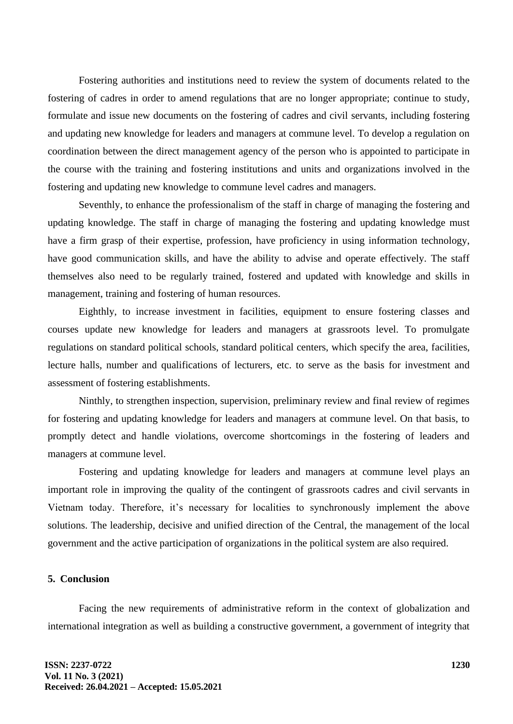Fostering authorities and institutions need to review the system of documents related to the fostering of cadres in order to amend regulations that are no longer appropriate; continue to study, formulate and issue new documents on the fostering of cadres and civil servants, including fostering and updating new knowledge for leaders and managers at commune level. To develop a regulation on coordination between the direct management agency of the person who is appointed to participate in the course with the training and fostering institutions and units and organizations involved in the fostering and updating new knowledge to commune level cadres and managers.

Seventhly, to enhance the professionalism of the staff in charge of managing the fostering and updating knowledge. The staff in charge of managing the fostering and updating knowledge must have a firm grasp of their expertise, profession, have proficiency in using information technology, have good communication skills, and have the ability to advise and operate effectively. The staff themselves also need to be regularly trained, fostered and updated with knowledge and skills in management, training and fostering of human resources.

Eighthly, to increase investment in facilities, equipment to ensure fostering classes and courses update new knowledge for leaders and managers at grassroots level. To promulgate regulations on standard political schools, standard political centers, which specify the area, facilities, lecture halls, number and qualifications of lecturers, etc. to serve as the basis for investment and assessment of fostering establishments.

Ninthly, to strengthen inspection, supervision, preliminary review and final review of regimes for fostering and updating knowledge for leaders and managers at commune level. On that basis, to promptly detect and handle violations, overcome shortcomings in the fostering of leaders and managers at commune level.

Fostering and updating knowledge for leaders and managers at commune level plays an important role in improving the quality of the contingent of grassroots cadres and civil servants in Vietnam today. Therefore, it's necessary for localities to synchronously implement the above solutions. The leadership, decisive and unified direction of the Central, the management of the local government and the active participation of organizations in the political system are also required.

## **5. Conclusion**

Facing the new requirements of administrative reform in the context of globalization and international integration as well as building a constructive government, a government of integrity that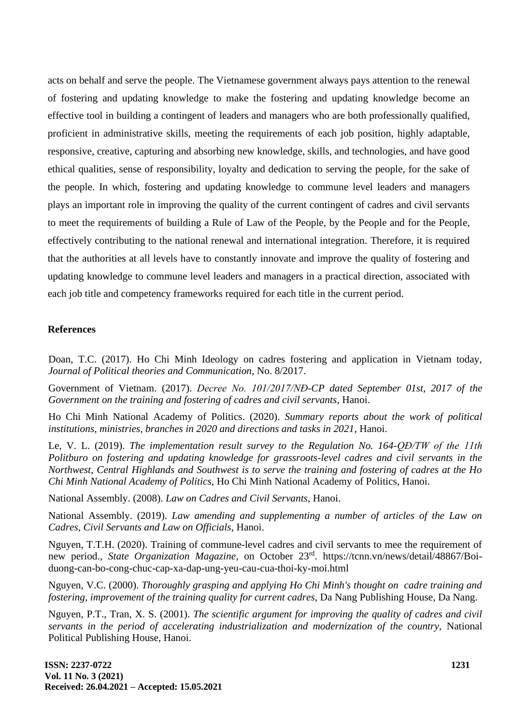acts on behalf and serve the people. The Vietnamese government always pays attention to the renewal of fostering and updating knowledge to make the fostering and updating knowledge become an effective tool in building a contingent of leaders and managers who are both professionally qualified, proficient in administrative skills, meeting the requirements of each job position, highly adaptable, responsive, creative, capturing and absorbing new knowledge, skills, and technologies, and have good ethical qualities, sense of responsibility, loyalty and dedication to serving the people, for the sake of the people. In which, fostering and updating knowledge to commune level leaders and managers plays an important role in improving the quality of the current contingent of cadres and civil servants to meet the requirements of building a Rule of Law of the People, by the People and for the People, effectively contributing to the national renewal and international integration. Therefore, it is required that the authorities at all levels have to constantly innovate and improve the quality of fostering and updating knowledge to commune level leaders and managers in a practical direction, associated with each job title and competency frameworks required for each title in the current period.

## **References**

Doan, T.C. (2017). Ho Chi Minh Ideology on cadres fostering and application in Vietnam today, *Journal of Political theories and Communication*, No. 8/2017.

Government of Vietnam. (2017). *Decree No. 101/2017/NĐ-CP dated September 01st, 2017 of the Government on the training and fostering of cadres and civil servants, Hanoi.* 

Ho Chi Minh National Academy of Politics. (2020). *Summary reports about the work of political institutions, ministries, branches in 2020 and directions and tasks in 2021, Hanoi.* 

Le, V. L. (2019). *The implementation result survey to the Regulation No. 164-QĐ/TW of the 11th Politburo on fostering and updating knowledge for grassroots-level cadres and civil servants in the Northwest, Central Highlands and Southwest is to serve the training and fostering of cadres at the Ho Chi Minh National Academy of Politics,* Ho Chi Minh National Academy of Politics, Hanoi.

National Assembly. (2008). *Law on Cadres and Civil Servants*, Hanoi.

National Assembly. (2019). *Law amending and supplementing a number of articles of the Law on Cadres, Civil Servants and Law on Officials*, Hanoi.

Nguyen, T.T.H. (2020). Training of commune-level cadres and civil servants to mee the requirement of new period., *State Organization Magazine*, on October 23rd . [https://tcnn.vn/news/detail/48867/Boi](https://tcnn.vn/news/detail/48867/Boi-duong-can-bo-cong-chuc-cap-xa-dap-ung-yeu-cau-cua-thoi-ky-moi.html)[duong-can-bo-cong-chuc-cap-xa-dap-ung-yeu-cau-cua-thoi-ky-moi.html](https://tcnn.vn/news/detail/48867/Boi-duong-can-bo-cong-chuc-cap-xa-dap-ung-yeu-cau-cua-thoi-ky-moi.html)

Nguyen, V.C. (2000). *Thoroughly grasping and applying Ho Chi Minh's thought on cadre training and fostering, improvement of the training quality for current cadres*, Da Nang Publishing House, Da Nang.

Nguyen, P.T., Tran, X. S. (2001). *The scientific argument for improving the quality of cadres and civil servants in the period of accelerating industrialization and modernization of the country,* National Political Publishing House, Hanoi.